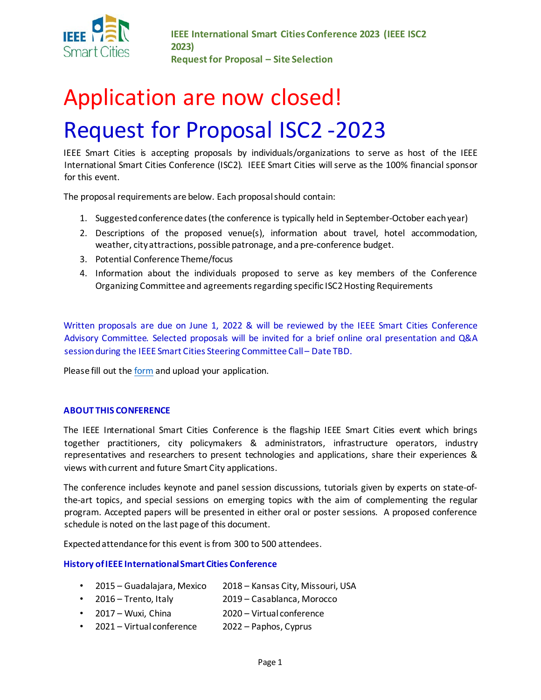

**IEEE International Smart Cities Conference 2023 (IEEE ISC2 2023) Request for Proposal – Site Selection** 

# Application are now closed! Request for Proposal ISC2 -2023

IEEE Smart Cities is accepting proposals by individuals/organizations to serve as host of the IEEE International Smart Cities Conference (ISC2). IEEE Smart Cities will serve as the 100% financial sponsor for this event.

The proposal requirements are below. Each proposal should contain:

- 1. Suggested conference dates (the conference is typically held in September-October each year)
- 2. Descriptions of the proposed venue(s), information about travel, hotel accommodation, weather, city attractions, possible patronage, and a pre-conference budget.
- 3. Potential Conference Theme/focus
- 4. Information about the individuals proposed to serve as key members of the Conference Organizing Committee and agreements regarding specific ISC2 Hosting Requirements

Written proposals are due on June 1, 2022 & will be reviewed by the IEEE Smart Cities Conference Advisory Committee. Selected proposals will be invited for a brief online oral presentation and Q&A session during the IEEE Smart Cities Steering Committee Call – Date TBD.

Please fill out the [form](https://app.smartsheet.com/b/form/7533ee5577254578b1e77cd978c2874c) and upload your application.

# **ABOUT THIS CONFERENCE**

The IEEE International Smart Cities Conference is the flagship IEEE Smart Cities event which brings together practitioners, city policymakers & administrators, infrastructure operators, industry representatives and researchers to present technologies and applications, share their experiences & views with current and future Smart City applications.

The conference includes keynote and panel session discussions, tutorials given by experts on state-ofthe-art topics, and special sessions on emerging topics with the aim of complementing the regular program. Accepted papers will be presented in either oral or poster sessions. A proposed conference schedule is noted on the last page of this document.

Expected attendance for this event is from 300 to 500 attendees.

# **History of IEEE International Smart Cities Conference**

- 2015 Guadalajara, Mexico 2018 Kansas City, Missouri, USA
- 2016 Trento, Italy 2019 Casablanca, Morocco
- 2017 Wuxi, China 2020 Virtual conference
- 2021 Virtual conference 2022 Paphos, Cyprus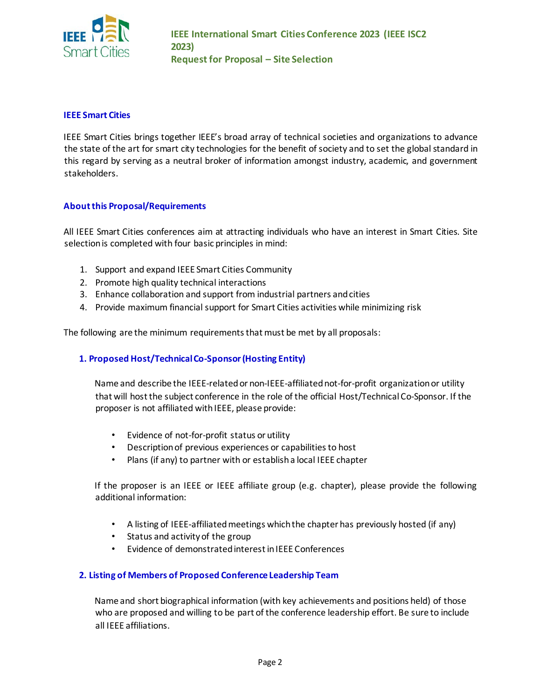

# **IEEE Smart Cities**

IEEE Smart Cities brings together IEEE's broad array of technical societies and organizations to advance the state of the art for smart city technologies for the benefit of society and to set the global standard in this regard by serving as a neutral broker of information amongst industry, academic, and government stakeholders.

# **About this Proposal/Requirements**

All IEEE Smart Cities conferences aim at attracting individuals who have an interest in Smart Cities. Site selection is completed with four basic principles in mind:

- 1. Support and expand IEEE Smart Cities Community
- 2. Promote high quality technical interactions
- 3. Enhance collaboration and support from industrial partners and cities
- 4. Provide maximum financial support for Smart Cities activities while minimizing risk

The following are the minimum requirements that must be met by all proposals:

# **1. Proposed Host/Technical Co-Sponsor (Hosting Entity)**

Name and describe the IEEE-related or non-IEEE-affiliated not-for-profit organization or utility that will host the subject conference in the role of the official Host/Technical Co-Sponsor. If the proposer is not affiliated with IEEE, please provide:

- Evidence of not-for-profit status or utility
- Description of previous experiences or capabilities to host
- Plans (if any) to partner with or establish a local IEEE chapter

If the proposer is an IEEE or IEEE affiliate group (e.g. chapter), please provide the following additional information:

- A listing of IEEE-affiliated meetings which the chapter has previously hosted (if any)
- Status and activity of the group
- Evidence of demonstrated interest in IEEE Conferences

# **2. Listing of Members of Proposed Conference Leadership Team**

Name and short biographical information (with key achievements and positions held) of those who are proposed and willing to be part of the conference leadership effort. Be sure to include all IEEE affiliations.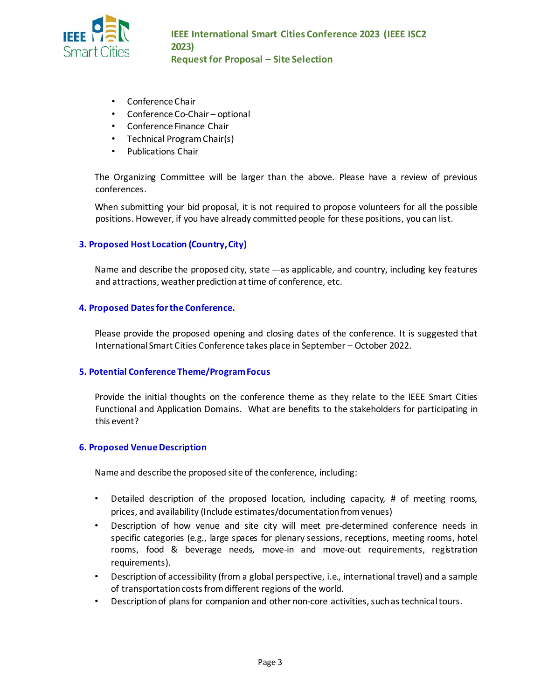

- Conference Chair
- Conference Co-Chair optional
- Conference Finance Chair
- Technical Program Chair(s)
- Publications Chair

The Organizing Committee will be larger than the above. Please have a review of previous conference[s.](http://sites.ieee.org/isc2-2018/oc/)

When submitting your bid proposal, it is not required to propose volunteers for all the possible positions. However, if you have already committed people for these positions, you can list.

# **3. Proposed Host Location (Country, City)**

Name and describe the proposed city, state ---as applicable, and country, including key features and attractions, weather prediction at time of conference, etc.

#### **4. Proposed Dates for the Conference.**

Please provide the proposed opening and closing dates of the conference. It is suggested that International Smart Cities Conference takes place in September – October 2022.

# **5. Potential Conference Theme/Program Focus**

Provide the initial thoughts on the conference theme as they relate to the IEEE Smart Cities Functional and Application Domains. What are benefits to the stakeholders for participating in this event?

# **6. Proposed Venue Description**

Name and describe the proposed site of the conference, including:

- Detailed description of the proposed location, including capacity, # of meeting rooms, prices, and availability (Include estimates/documentation from venues)
- Description of how venue and site city will meet pre-determined conference needs in specific categories (e.g., large spaces for plenary sessions, receptions, meeting rooms, hotel rooms, food & beverage needs, move-in and move-out requirements, registration requirements).
- Description of accessibility (from a global perspective, i.e., international travel) and a sample of transportation costs from different regions of the world.
- Description of plans for companion and other non-core activities, such as technical tours.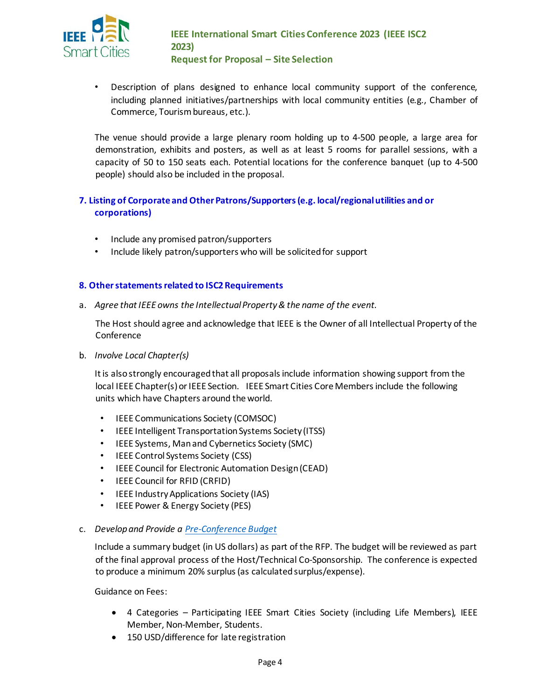

• Description of plans designed to enhance local community support of the conference, including planned initiatives/partnerships with local community entities (e.g., Chamber of Commerce, Tourism bureaus, etc.).

The venue should provide a large plenary room holding up to 4-500 people, a large area for demonstration, exhibits and posters, as well as at least 5 rooms for parallel sessions, with a capacity of 50 to 150 seats each. Potential locations for the conference banquet (up to 4-500 people) should also be included in the proposal.

# **7. Listing of Corporate and Other Patrons/Supporters(e.g. local/regional utilities and or corporations)**

- Include any promised patron/supporters
- Include likely patron/supporters who will be solicited for support

# **8. Other statements related to ISC2 Requirements**

a. *Agree that IEEE owns the Intellectual Property & the name of the event.*

The Host should agree and acknowledge that IEEE is the Owner of all Intellectual Property of the Conference

b. *Involve Local Chapter(s)* 

It is also strongly encouraged that all proposals include information showing support from the local IEEE Chapter(s) or IEEE Section. IEEE Smart Cities Core Members include the following units which have Chapters around the world.

- IEEE Communications Society (COMSOC)
- IEEE Intelligent Transportation Systems Society (ITSS)
- IEEE Systems, Man and Cybernetics Society (SMC)
- IEEE Control Systems Society (CSS)
- IEEE Council for Electronic Automation Design (CEAD)
- IEEE Council for RFID (CRFID)
- IEEE Industry Applications Society (IAS)
- IEEE Power & Energy Society (PES)

# c. *Develop and Provide a [Pre-Conference Budget](https://www.ieee.org/conferences/organizers/closing-conference-finances.html)*

Include a summary budget (in US dollars) as part of the RFP. The budget will be reviewed as part of the final approval process of the Host/Technical Co-Sponsorship. The conference is expected to produce a minimum 20% surplus (as calculated surplus/expense).

Guidance on Fees:

- 4 Categories Participating IEEE Smart Cities Society (including Life Members), IEEE Member, Non-Member, Students.
- 150 USD/difference for late registration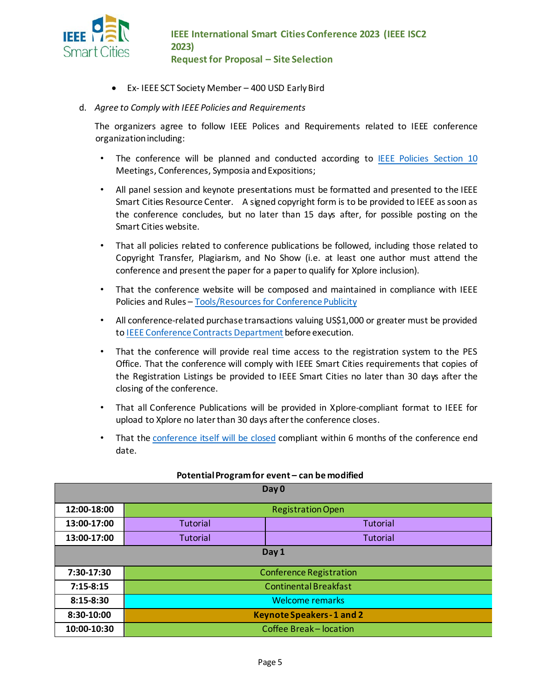

- Ex- IEEE SCT Society Member 400 USD Early Bird
- d. *Agree to Comply with IEEE Policies and Requirements*

The organizers agree to follow IEEE Polices and Requirements related to IEEE conference organization including:

- The conference will be planned and conducted according to **[IEEE Policies Section 10](http://www.ieee.org/documents/ieee_policies.pdf)** Meetings, Conferences, Symposia and Expositions;
- All panel session and keynote presentations must be formatted and presented to the IEEE Smart Cities Resource Center. A signed copyright form is to be provided to IEEE as soon as the conference concludes, but no later than 15 days after, for possible posting on the Smart Cities website.
- That all policies related to conference publications be followed, including those related to Copyright Transfer, Plagiarism, and No Show (i.e. at least one author must attend the conference and present the paper for a paper to qualify for Xplore inclusion).
- That the conference website will be composed and maintained in compliance with IEEE Policies and Rules [–](https://www.ieee.org/conferences/organizers/toolkit-publicity.html) [Tools/Resources for Conference Publicity](https://www.ieee.org/conferences/organizers/toolkit-publicity.html)
- All conference-related purchase transactions valuing US\$1,000 or greater must be provided t[o IEEE Conference Contracts Department](https://www.ieee.org/conferences/organizers/contracts.html) before execution.
- That the conference will provide real time access to the registration system to the PES Office. That the conference will comply with IEEE Smart Cities requirements that copies of the Registration Listings be provided to IEEE Smart Cities no later than 30 days after the closing of the conference.
- That all Conference Publications will be provided in Xplore-compliant format to IEEE for upload to Xplore no later than 30 days after the conference closes.
- That th[e conference itself will be closed](https://www.ieee.org/conferences/organizers/closing-conference-finances.html) compliant within 6 months of the conference end date.

| Day 0       |                                   |                 |  |  |
|-------------|-----------------------------------|-----------------|--|--|
| 12:00-18:00 | <b>Registration Open</b>          |                 |  |  |
| 13:00-17:00 | <b>Tutorial</b>                   | Tutorial        |  |  |
| 13:00-17:00 | <b>Tutorial</b>                   | <b>Tutorial</b> |  |  |
| Day 1       |                                   |                 |  |  |
| 7:30-17:30  | <b>Conference Registration</b>    |                 |  |  |
| $7:15-8:15$ | <b>Continental Breakfast</b>      |                 |  |  |
| $8:15-8:30$ | <b>Welcome remarks</b>            |                 |  |  |
| 8:30-10:00  | <b>Keynote Speakers - 1 and 2</b> |                 |  |  |
| 10:00-10:30 | Coffee Break-location             |                 |  |  |

# **Potential Program for event – can be modified**